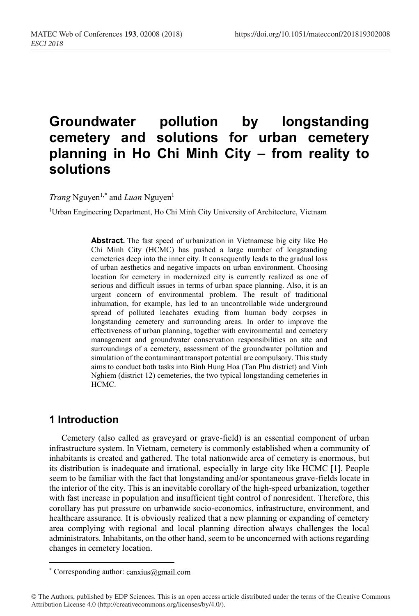# **Groundwater pollution by longstanding cemetery and solutions for urban cemetery planning in Ho Chi Minh City – from reality to solutions**

*Trang* Nguyen<sup>1,\*</sup> and *Luan* Nguyen<sup>1</sup>

1Urban Engineering Department, Ho Chi Minh City University of Architecture, Vietnam

**Abstract.** The fast speed of urbanization in Vietnamese big city like Ho Chi Minh City (HCMC) has pushed a large number of longstanding cemeteries deep into the inner city. It consequently leads to the gradual loss of urban aesthetics and negative impacts on urban environment. Choosing location for cemetery in modernized city is currently realized as one of serious and difficult issues in terms of urban space planning. Also, it is an urgent concern of environmental problem. The result of traditional inhumation, for example, has led to an uncontrollable wide underground spread of polluted leachates exuding from human body corpses in longstanding cemetery and surrounding areas. In order to improve the effectiveness of urban planning, together with environmental and cemetery management and groundwater conservation responsibilities on site and surroundings of a cemetery, assessment of the groundwater pollution and simulation of the contaminant transport potential are compulsory. This study aims to conduct both tasks into Binh Hung Hoa (Tan Phu district) and Vinh Nghiem (district 12) cemeteries, the two typical longstanding cemeteries in HCMC.

## **1 Introduction**

l

Cemetery (also called as graveyard or grave-field) is an essential component of urban infrastructure system. In Vietnam, cemetery is commonly established when a community of inhabitants is created and gathered. The total nationwide area of cemetery is enormous, but its distribution is inadequate and irrational, especially in large city like HCMC [1]. People seem to be familiar with the fact that longstanding and/or spontaneous grave-fields locate in the interior of the city. This is an inevitable corollary of the high-speed urbanization, together with fast increase in population and insufficient tight control of nonresident. Therefore, this corollary has put pressure on urbanwide socio-economics, infrastructure, environment, and healthcare assurance. It is obviously realized that a new planning or expanding of cemetery area complying with regional and local planning direction always challenges the local administrators. Inhabitants, on the other hand, seem to be unconcerned with actions regarding changes in cemetery location.

<sup>\*</sup> Corresponding author: canxius@gmail.com

<sup>©</sup> The Authors, published by EDP Sciences. This is an open access article distributed under the terms of the Creative Commons Attribution License 4.0 (http://creativecommons.org/licenses/by/4.0/).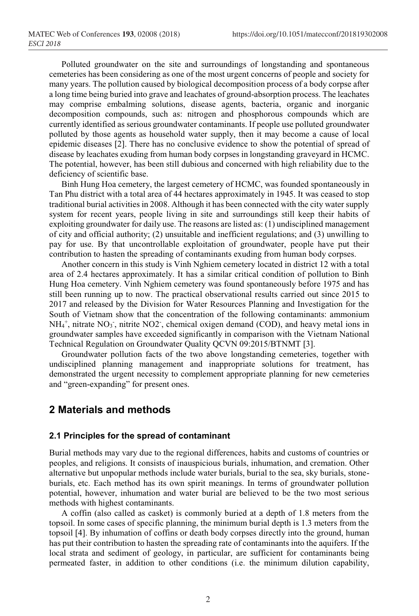Polluted groundwater on the site and surroundings of longstanding and spontaneous cemeteries has been considering as one of the most urgent concerns of people and society for many years. The pollution caused by biological decomposition process of a body corpse after a long time being buried into grave and leachates of ground-absorption process. The leachates may comprise embalming solutions, disease agents, bacteria, organic and inorganic decomposition compounds, such as: nitrogen and phosphorous compounds which are currently identified as serious groundwater contaminants. If people use polluted groundwater polluted by those agents as household water supply, then it may become a cause of local epidemic diseases [2]. There has no conclusive evidence to show the potential of spread of disease by leachates exuding from human body corpses in longstanding graveyard in HCMC. The potential, however, has been still dubious and concerned with high reliability due to the deficiency of scientific base.

Binh Hung Hoa cemetery, the largest cemetery of HCMC, was founded spontaneously in Tan Phu district with a total area of 44 hectares approximately in 1945. It was ceased to stop traditional burial activities in 2008. Although it has been connected with the city water supply system for recent years, people living in site and surroundings still keep their habits of exploiting groundwater for daily use. The reasons are listed as: (1) undisciplined management of city and official authority; (2) unsuitable and inefficient regulations; and (3) unwilling to pay for use. By that uncontrollable exploitation of groundwater, people have put their contribution to hasten the spreading of contaminants exuding from human body corpses.

Another concern in this study is Vinh Nghiem cemetery located in district 12 with a total area of 2.4 hectares approximately. It has a similar critical condition of pollution to Binh Hung Hoa cemetery. Vinh Nghiem cemetery was found spontaneously before 1975 and has still been running up to now. The practical observational results carried out since 2015 to 2017 and released by the Division for Water Resources Planning and Investigation for the South of Vietnam show that the concentration of the following contaminants: ammonium  $NH_4^+$ , nitrate  $NO_3$ , nitrite  $NO2$ , chemical oxigen demand (COD), and heavy metal ions in groundwater samples have exceeded significantly in comparison with the Vietnam National Technical Regulation on Groundwater Quality QCVN 09:2015/BTNMT [3].

Groundwater pollution facts of the two above longstanding cemeteries, together with undisciplined planning management and inappropriate solutions for treatment, has demonstrated the urgent necessity to complement appropriate planning for new cemeteries and "green-expanding" for present ones.

## **2 Materials and methods**

#### **2.1 Principles for the spread of contaminant**

Burial methods may vary due to the regional differences, habits and customs of countries or peoples, and religions. It consists of inauspicious burials, inhumation, and cremation. Other alternative but unpopular methods include water burials, burial to the sea, sky burials, stoneburials, etc. Each method has its own spirit meanings. In terms of groundwater pollution potential, however, inhumation and water burial are believed to be the two most serious methods with highest contaminants.

A coffin (also called as casket) is commonly buried at a depth of 1.8 meters from the topsoil. In some cases of specific planning, the minimum burial depth is 1.3 meters from the topsoil [4]. By inhumation of coffins or death body corpses directly into the ground, human has put their contribution to hasten the spreading rate of contaminants into the aquifers. If the local strata and sediment of geology, in particular, are sufficient for contaminants being permeated faster, in addition to other conditions (i.e. the minimum dilution capability,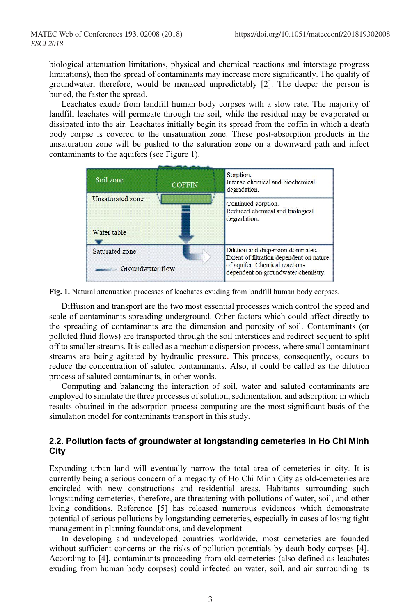biological attenuation limitations, physical and chemical reactions and interstage progress limitations), then the spread of contaminants may increase more significantly. The quality of groundwater, therefore, would be menaced unpredictably [2]. The deeper the person is buried, the faster the spread.

Leachates exude from landfill human body corpses with a slow rate. The majority of landfill leachates will permeate through the soil, while the residual may be evaporated or dissipated into the air. Leachates initially begin its spread from the coffin in which a death body corpse is covered to the unsaturation zone. These post-absorption products in the unsaturation zone will be pushed to the saturation zone on a downward path and infect contaminants to the aquifers (see Figure 1).

| Soil zone                          | <b>COFFIN</b> | Sorption.<br>Intense chemical and biochemical<br>degradation.                                                                                           |
|------------------------------------|---------------|---------------------------------------------------------------------------------------------------------------------------------------------------------|
| Unsaturated zone<br>Water table    |               | Continued sorption.<br>Reduced chemical and biological<br>degradation.                                                                                  |
| Saturated zone<br>Groundwater flow |               | Dilution and dispersion dominates.<br>Extent of filtration dependent on nature<br>of aquifer. Chemical reactions<br>dependent on groundwater chemistry. |

**Fig. 1.** Natural attenuation processes of leachates exuding from landfill human body corpses.

Diffusion and transport are the two most essential processes which control the speed and scale of contaminants spreading underground. Other factors which could affect directly to the spreading of contaminants are the dimension and porosity of soil. Contaminants (or polluted fluid flows) are transported through the soil interstices and redirect sequent to split off to smaller streams. It is called as a mechanic dispersion process, where small contaminant streams are being agitated by hydraulic pressure**.** This process, consequently, occurs to reduce the concentration of saluted contaminants. Also, it could be called as the dilution process of saluted contaminants, in other words.

Computing and balancing the interaction of soil, water and saluted contaminants are employed to simulate the three processes of solution, sedimentation, and adsorption; in which results obtained in the adsorption process computing are the most significant basis of the simulation model for contaminants transport in this study.

### **2.2. Pollution facts of groundwater at longstanding cemeteries in Ho Chi Minh City**

Expanding urban land will eventually narrow the total area of cemeteries in city. It is currently being a serious concern of a megacity of Ho Chi Minh City as old-cemeteries are encircled with new constructions and residential areas. Habitants surrounding such longstanding cemeteries, therefore, are threatening with pollutions of water, soil, and other living conditions. Reference [5] has released numerous evidences which demonstrate potential of serious pollutions by longstanding cemeteries, especially in cases of losing tight management in planning foundations, and development.

In developing and undeveloped countries worldwide, most cemeteries are founded without sufficient concerns on the risks of pollution potentials by death body corpses [4]. According to [4], contaminants proceeding from old-cemeteries (also defined as leachates exuding from human body corpses) could infected on water, soil, and air surrounding its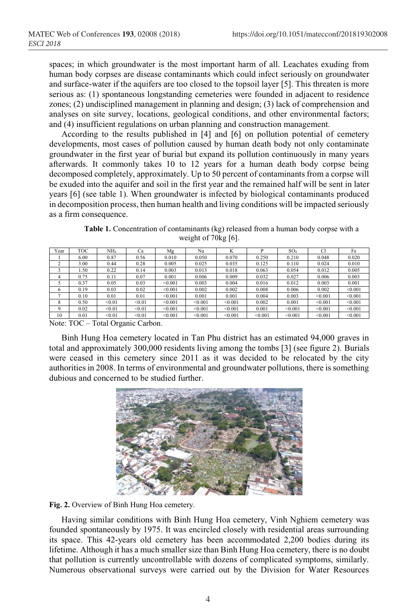spaces; in which groundwater is the most important harm of all. Leachates exuding from human body corpses are disease contaminants which could infect seriously on groundwater and surface-water if the aquifers are too closed to the topsoil layer [5]. This threaten is more serious as: (1) spontaneous longstanding cemeteries were founded in adjacent to residence zones; (2) undisciplined management in planning and design; (3) lack of comprehension and analyses on site survey, locations, geological conditions, and other environmental factors; and (4) insufficient regulations on urban planning and construction management.

According to the results published in [4] and [6] on pollution potential of cemetery developments, most cases of pollution caused by human death body not only contaminate groundwater in the first year of burial but expand its pollution continuously in many years afterwards. It commonly takes 10 to 12 years for a human death body corpse being decomposed completely, approximately. Up to 50 percent of contaminants from a corpse will be exuded into the aquifer and soil in the first year and the remained half will be sent in later years [6] (see table 1). When groundwater is infected by biological contaminants produced in decomposition process, then human health and living conditions will be impacted seriously as a firm consequence.

**Table 1.** Concentration of contaminants (kg) released from a human body corpse with a weight of 70kg [6].

| Year | <b>TOC</b> | NH4    | Ca     | Mg      | Na      | TZ.<br>ĸ | D       | SO <sub>4</sub> | <b>Cl</b> | Fe      |
|------|------------|--------|--------|---------|---------|----------|---------|-----------------|-----------|---------|
|      | 6.00       | 0.87   | 0.56   | 0.010   | 0.050   | 0.070    | 0.250   | 0.210           | 0.048     | 0.020   |
|      | 3.00       | 0.44   | 0.28   | 0.005   | 0.025   | 0.035    | 0.125   | 0.110           | 0.024     | 0.010   |
|      | .50        | 0.22   | 0.14   | 0.003   | 0.013   | 0.018    | 0.063   | 0.054           | 0.012     | 0.005   |
|      | 0.75       | 0.11   | 0.07   | 0.001   | 0.006   | 0.009    | 0.032   | 0.027           | 0.006     | 0.003   |
|      | 0.37       | 0.05   | 0.03   | < 0.001 | 0.003   | 0.004    | 0.016   | 0.012           | 0.003     | 0.001   |
| 6    | 0.19       | 0.03   | 0.02   | < 0.001 | 0.002   | 0.002    | 0.008   | 0.006           | 0.002     | < 0.001 |
|      | 0.10       | 0.01   | 0.01   | < 0.001 | 0.001   | 0.001    | 0.004   | 0.003           | < 0.001   | < 0.001 |
| 8    | 0.50       | < 0.01 | < 0.01 | < 0.001 | < 0.001 | < 0.001  | 0.002   | 0.001           | < 0.001   | < 0.001 |
| Q    | 0.02       | < 0.01 | < 0.01 | < 0.001 | < 0.001 | < 0.001  | 0.001   | < 0.001         | < 0.001   | < 0.001 |
| 10   | 0.01       | < 0.01 | < 0.01 | < 0.001 | < 0.001 | < 0.001  | < 0.001 | < 0.001         | < 0.001   | < 0.001 |

Note: TOC – Total Organic Carbon.

Binh Hung Hoa cemetery located in Tan Phu district has an estimated 94,000 graves in total and approximately 300,000 residents living among the tombs [3] (see figure 2). Burials were ceased in this cemetery since 2011 as it was decided to be relocated by the city authorities in 2008. In terms of environmental and groundwater pollutions, there is something dubious and concerned to be studied further.



**Fig. 2.** Overview of Binh Hung Hoa cemetery.

Having similar conditions with Binh Hung Hoa cemetery, Vinh Nghiem cemetery was founded spontaneously by 1975. It was encircled closely with residential areas surrounding its space. This 42-years old cemetery has been accommodated 2,200 bodies during its lifetime. Although it has a much smaller size than Binh Hung Hoa cemetery, there is no doubt that pollution is currently uncontrollable with dozens of complicated symptoms, similarly. Numerous observational surveys were carried out by the Division for Water Resources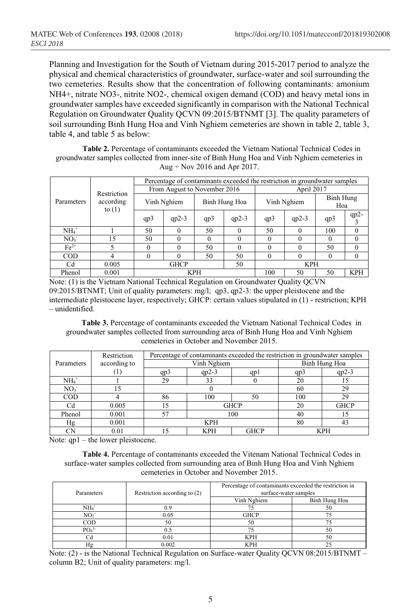Planning and Investigation for the South of Vietnam during 2015-2017 period to analyze the physical and chemical characteristics of groundwater, surface-water and soil surrounding the two cemeteries. Results show that the concentration of following contaminants: amonium NH4+, nitrate NO3-, nitrite NO2-, chemical oxigen demand (COD) and heavy metal ions in groundwater samples have exceeded significantly in comparison with the National Technical Regulation on Groundwater Quality QCVN 09:2015/BTNMT [3]. The quality parameters of soil surrounding Binh Hung Hoa and Vinh Nghiem cemeteries are shown in table 2, table 3, table 4, and table 5 as below:

**Table 2.** Percentage of contaminants exceeded the Vietnam National Technical Codes in groundwater samples collected from inner-site of Binh Hung Hoa and Vinh Nghiem cemeteries in Aug  $\div$  Nov 2016 and Apr 2017.

|                 |                                      | Percentage of contaminants exceeded the restriction in groundwater samples |          |               |          |             |          |                  |            |  |
|-----------------|--------------------------------------|----------------------------------------------------------------------------|----------|---------------|----------|-------------|----------|------------------|------------|--|
| Parameters      | Restriction<br>according<br>to $(1)$ | From August to November 2016                                               |          |               |          | April 2017  |          |                  |            |  |
|                 |                                      | Vinh Nghiem                                                                |          | Binh Hung Hoa |          | Vinh Nghiem |          | Binh Hung<br>Hoa |            |  |
|                 |                                      | qp3                                                                        | $qp2-3$  | qp3           | $qp2-3$  | qp3         | $qp2-3$  | qp3              | $qp2-$     |  |
| $NH4+$          |                                      | 50                                                                         | $\Omega$ | 50            | $\Omega$ | 50          | $\Omega$ | 100              | $\Omega$   |  |
| NO <sub>3</sub> | 15                                   | 50                                                                         | $\Omega$ | 0             | $\theta$ | 0           | 0        | $\Omega$         | $\theta$   |  |
| $Fe2+$          |                                      | 0                                                                          | $\Omega$ | 50            | $\theta$ | 0           | 0        | 50               | $\theta$   |  |
| <b>COD</b>      | 4                                    | 0                                                                          | $\Omega$ | 50            | 50       | $\Omega$    |          | $\Omega$         | $\Omega$   |  |
| Cd              | 0.005                                | <b>GHCP</b><br>50                                                          |          |               |          | <b>KPH</b>  |          |                  |            |  |
| Phenol          | 0.001                                | <b>KPH</b>                                                                 |          |               |          | 100         | 50       | 50               | <b>KPH</b> |  |

Note: (1) is the Vietnam National Technical Regulation on Groundwater Quality QCVN 09:2015/BTNMT; Unit of quality parameters: mg/l; qp3, qp2-3: the upper pleistocene and the intermediate pleistocene layer, respectively; GHCP: certain values stipulated in (1) - restriction; KPH – unidentified.

**Table 3.** Percentage of contaminants exceeded the Vietnam National Technical Codes in groundwater samples collected from surrounding area of Binh Hung Hoa and Vinh Nghiem cemeteries in October and November 2015.

|                 | Restriction  | Percentage of contaminants exceeded the restriction in groundwater samples |             |               |            |             |  |
|-----------------|--------------|----------------------------------------------------------------------------|-------------|---------------|------------|-------------|--|
| Parameters      | according to |                                                                            | Vinh Nghiem | Binh Hung Hoa |            |             |  |
|                 |              | qp3                                                                        | $qp2-3$     | qpl           | qp3        | $qp2-3$     |  |
| $NH4+$          |              | 29                                                                         | 33          |               | 20         |             |  |
| NO <sub>3</sub> | .5           |                                                                            |             | 60            | 29         |             |  |
| COD             |              | 86                                                                         | 100         | 50            | 100        | 29          |  |
| Cd              | 0.005        |                                                                            | <b>GHCP</b> |               | 20         | <b>GHCP</b> |  |
| Phenol          | 0.001        | 57                                                                         |             | 100           | 40         |             |  |
| Hg              | 0.001        | <b>KPH</b>                                                                 |             |               | 80         |             |  |
| CN              | 0.01         |                                                                            | <b>KPH</b>  | <b>GHCP</b>   | <b>KPH</b> |             |  |

Note: qp1 – the lower pleistocene.

**Table 4.** Percentage of contaminants exceeded the Vitenam National Technical Codes in surface-water samples collected from surrounding area of Binh Hung Hoa and Vinh Nghiem cemeteries in October and November 2015.

| Parameters                   | Restriction according to (2) | Percentage of contaminants exceeded the restriction in<br>surface-water samples |               |  |  |
|------------------------------|------------------------------|---------------------------------------------------------------------------------|---------------|--|--|
|                              |                              | Vinh Nghiem                                                                     |               |  |  |
|                              |                              |                                                                                 | Binh Hung Hoa |  |  |
| NH <sub>4</sub>              |                              |                                                                                 | 50            |  |  |
| NO <sub>2</sub>              | 0.05                         | <b>GHCP</b>                                                                     |               |  |  |
| $\rm{COD}$                   | 50                           | 50                                                                              |               |  |  |
| PO <sub>4</sub> <sup>3</sup> |                              |                                                                                 | 50            |  |  |
|                              | 0.01                         | <b>KPH</b>                                                                      | 50            |  |  |
| Ηg                           | 0.002                        | KPH                                                                             |               |  |  |

Note: (2) - is the National Technical Regulation on Surface-water Quality QCVN 08:2015/BTNMT – column B2; Unit of quality parameters: mg/l.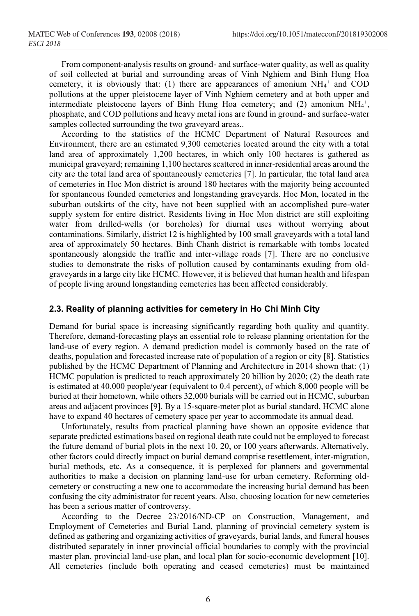From component-analysis results on ground- and surface-water quality, as well as quality of soil collected at burial and surrounding areas of Vinh Nghiem and Binh Hung Hoa cemetery, it is obviously that: (1) there are appearances of amonium  $NH_4^+$  and COD pollutions at the upper pleistocene layer of Vinh Nghiem cemetery and at both upper and intermediate pleistocene layers of Binh Hung Hoa cemetery; and  $(2)$  amonium NH<sub>4</sub><sup>+</sup>, phosphate, and COD pollutions and heavy metal ions are found in ground- and surface-water samples collected surrounding the two graveyard areas..

According to the statistics of the HCMC Department of Natural Resources and Environment, there are an estimated 9,300 cemeteries located around the city with a total land area of approximately 1,200 hectares, in which only 100 hectares is gathered as municipal graveyard; remaining 1,100 hectares scattered in inner-residential areas around the city are the total land area of spontaneously cemeteries [7]. In particular, the total land area of cemeteries in Hoc Mon district is around 180 hectares with the majority being accounted for spontaneous founded cemeteries and longstanding graveyards. Hoc Mon, located in the suburban outskirts of the city, have not been supplied with an accomplished pure-water supply system for entire district. Residents living in Hoc Mon district are still exploiting water from drilled-wells (or boreholes) for diurnal uses without worrying about contaminations. Similarly, district 12 is highlighted by 100 small graveyards with a total land area of approximately 50 hectares. Binh Chanh district is remarkable with tombs located spontaneously alongside the traffic and inter-village roads [7]. There are no conclusive studies to demonstrate the risks of pollution caused by contaminants exuding from oldgraveyards in a large city like HCMC. However, it is believed that human health and lifespan of people living around longstanding cemeteries has been affected considerably.

#### **2.3. Reality of planning activities for cemetery in Ho Chi Minh City**

Demand for burial space is increasing significantly regarding both quality and quantity. Therefore, demand-forecasting plays an essential role to release planning orientation for the land-use of every region. A demand prediction model is commonly based on the rate of deaths, population and forecasted increase rate of population of a region or city [8]. Statistics published by the HCMC Department of Planning and Architecture in 2014 shown that: (1) HCMC population is predicted to reach approximately 20 billion by 2020; (2) the death rate is estimated at 40,000 people/year (equivalent to 0.4 percent), of which 8,000 people will be buried at their hometown, while others 32,000 burials will be carried out in HCMC, suburban areas and adjacent provinces [9]. By a 15-square-meter plot as burial standard, HCMC alone have to expand 40 hectares of cemetery space per year to accommodate its annual dead.

Unfortunately, results from practical planning have shown an opposite evidence that separate predicted estimations based on regional death rate could not be employed to forecast the future demand of burial plots in the next 10, 20, or 100 years afterwards. Alternatively, other factors could directly impact on burial demand comprise resettlement, inter-migration, burial methods, etc. As a consequence, it is perplexed for planners and governmental authorities to make a decision on planning land-use for urban cemetery. Reforming oldcemetery or constructing a new one to accommodate the increasing burial demand has been confusing the city administrator for recent years. Also, choosing location for new cemeteries has been a serious matter of controversy.

According to the Decree 23/2016/ND-CP on Construction, Management, and Employment of Cemeteries and Burial Land, planning of provincial cemetery system is defined as gathering and organizing activities of graveyards, burial lands, and funeral houses distributed separately in inner provincial official boundaries to comply with the provincial master plan, provincial land-use plan, and local plan for socio-economic development [10]. All cemeteries (include both operating and ceased cemeteries) must be maintained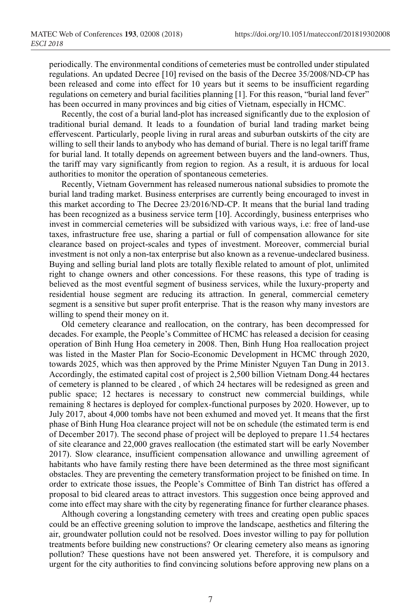periodically. The environmental conditions of cemeteries must be controlled under stipulated regulations. An updated Decree [10] revised on the basis of the Decree 35/2008/ND-CP has been released and come into effect for 10 years but it seems to be insufficient regarding regulations on cemetery and burial facilities planning [1]. For this reason, "burial land fever" has been occurred in many provinces and big cities of Vietnam, especially in HCMC.

Recently, the cost of a burial land-plot has increased significantly due to the explosion of traditional burial demand. It leads to a foundation of burial land trading market being effervescent. Particularly, people living in rural areas and suburban outskirts of the city are willing to sell their lands to anybody who has demand of burial. There is no legal tariff frame for burial land. It totally depends on agreement between buyers and the land-owners. Thus, the tariff may vary significantly from region to region. As a result, it is arduous for local authorities to monitor the operation of spontaneous cemeteries.

Recently, Vietnam Government has released numerous national subsidies to promote the burial land trading market. Business enterprises are currently being encouraged to invest in this market according to The Decree 23/2016/ND-CP. It means that the burial land trading has been recognized as a business service term [10]. Accordingly, business enterprises who invest in commercial cemeteries will be subsidized with various ways, i.e: free of land-use taxes, infrastructure free use, sharing a partial or full of compensation allowance for site clearance based on project-scales and types of investment. Moreover, commercial burial investment is not only a non-tax enterprise but also known as a revenue-undeclared business. Buying and selling burial land plots are totally flexible related to amount of plot, unlimited right to change owners and other concessions. For these reasons, this type of trading is believed as the most eventful segment of business services, while the luxury-property and residential house segment are reducing its attraction. In general, commercial cemetery segment is a sensitive but super profit enterprise. That is the reason why many investors are willing to spend their money on it.

Old cemetery clearance and reallocation, on the contrary, has been decompressed for decades. For example, the People's Committee of HCMC has released a decision for ceasing operation of Binh Hung Hoa cemetery in 2008. Then, Binh Hung Hoa reallocation project was listed in the Master Plan for Socio-Economic Development in HCMC through 2020, towards 2025, which was then approved by the Prime Minister Nguyen Tan Dung in 2013. Accordingly, the estimated capital cost of project is 2,500 billion Vietnam Dong.44 hectares of cemetery is planned to be cleared , of which 24 hectares will be redesigned as green and public space; 12 hectares is necessary to construct new commercial buildings, while remaining 8 hectares is deployed for complex-functional purposes by 2020. However, up to July 2017, about 4,000 tombs have not been exhumed and moved yet. It means that the first phase of Binh Hung Hoa clearance project will not be on schedule (the estimated term is end of December 2017). The second phase of project will be deployed to prepare 11.54 hectares of site clearance and 22,000 graves reallocation (the estimated start will be early November 2017). Slow clearance, insufficient compensation allowance and unwilling agreement of habitants who have family resting there have been determined as the three most significant obstacles. They are preventing the cemetery transformation project to be finished on time. In order to extricate those issues, the People's Committee of Binh Tan district has offered a proposal to bid cleared areas to attract investors. This suggestion once being approved and come into effect may share with the city by regenerating finance for further clearance phases.

Although covering a longstanding cemetery with trees and creating open public spaces could be an effective greening solution to improve the landscape, aesthetics and filtering the air, groundwater pollution could not be resolved. Does investor willing to pay for pollution treatments before building new constructions? Or clearing cemetery also means as ignoring pollution? These questions have not been answered yet. Therefore, it is compulsory and urgent for the city authorities to find convincing solutions before approving new plans on a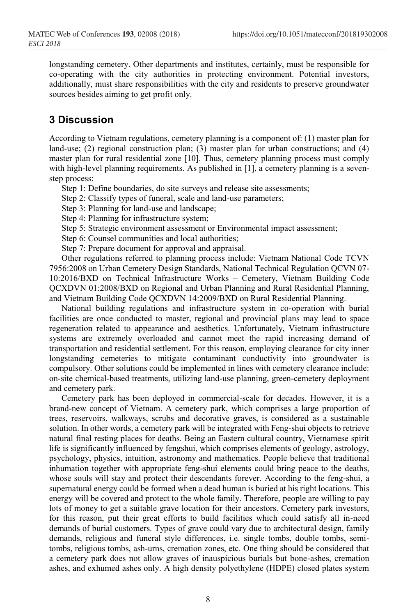longstanding cemetery. Other departments and institutes, certainly, must be responsible for co-operating with the city authorities in protecting environment. Potential investors, additionally, must share responsibilities with the city and residents to preserve groundwater sources besides aiming to get profit only.

## **3 Discussion**

According to Vietnam regulations, cemetery planning is a component of: (1) master plan for land-use; (2) regional construction plan; (3) master plan for urban constructions; and (4) master plan for rural residential zone [10]. Thus, cemetery planning process must comply with high-level planning requirements. As published in [1], a cemetery planning is a sevenstep process:

Step 1: Define boundaries, do site surveys and release site assessments;

Step 2: Classify types of funeral, scale and land-use parameters;

Step 3: Planning for land-use and landscape;

Step 4: Planning for infrastructure system;

Step 5: Strategic environment assessment or Environmental impact assessment;

Step 6: Counsel communities and local authorities;

Step 7: Prepare document for approval and appraisal.

Other regulations referred to planning process include: Vietnam National Code TCVN 7956:2008 on Urban Cemetery Design Standards, National Technical Regulation QCVN 07- 10:2016/BXD on Technical Infrastructure Works – Cemetery, Vietnam Building Code QCXDVN 01:2008/BXD on Regional and Urban Planning and Rural Residential Planning, and Vietnam Building Code QCXDVN 14:2009/BXD on Rural Residential Planning.

National building regulations and infrastructure system in co-operation with burial facilities are once conducted to master, regional and provincial plans may lead to space regeneration related to appearance and aesthetics. Unfortunately, Vietnam infrastructure systems are extremely overloaded and cannot meet the rapid increasing demand of transportation and residential settlement. For this reason, employing clearance for city inner longstanding cemeteries to mitigate contaminant conductivity into groundwater is compulsory. Other solutions could be implemented in lines with cemetery clearance include: on-site chemical-based treatments, utilizing land-use planning, green-cemetery deployment and cemetery park.

Cemetery park has been deployed in commercial-scale for decades. However, it is a brand-new concept of Vietnam. A cemetery park, which comprises a large proportion of trees, reservoirs, walkways, scrubs and decorative graves, is considered as a sustainable solution. In other words, a cemetery park will be integrated with Feng-shui objects to retrieve natural final resting places for deaths. Being an Eastern cultural country, Vietnamese spirit life is significantly influenced by fengshui, which comprises elements of geology, astrology, psychology, physics, intuition, astronomy and mathematics. People believe that traditional inhumation together with appropriate feng-shui elements could bring peace to the deaths, whose souls will stay and protect their descendants forever. According to the feng-shui, a supernatural energy could be formed when a dead human is buried at his right locations. This energy will be covered and protect to the whole family. Therefore, people are willing to pay lots of money to get a suitable grave location for their ancestors. Cemetery park investors, for this reason, put their great efforts to build facilities which could satisfy all in-need demands of burial customers. Types of grave could vary due to architectural design, family demands, religious and funeral style differences, i.e. single tombs, double tombs, semitombs, religious tombs, ash-urns, cremation zones, etc. One thing should be considered that a cemetery park does not allow graves of inauspicious burials but bone-ashes, cremation ashes, and exhumed ashes only. A high density polyethylene (HDPE) closed plates system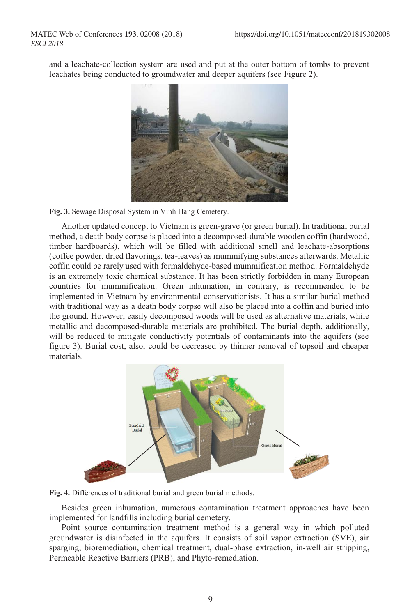and a leachate-collection system are used and put at the outer bottom of tombs to prevent leachates being conducted to groundwater and deeper aquifers (see Figure 2).



**Fig. 3.** Sewage Disposal System in Vinh Hang Cemetery.

Another updated concept to Vietnam is green-grave (or green burial). In traditional burial method, a death body corpse is placed into a decomposed-durable wooden coffin (hardwood, timber hardboards), which will be filled with additional smell and leachate-absorptions (coffee powder, dried flavorings, tea-leaves) as mummifying substances afterwards. Metallic coffin could be rarely used with formaldehyde-based mummification method. Formaldehyde is an extremely toxic chemical substance. It has been strictly forbidden in many European countries for mummification. Green inhumation, in contrary, is recommended to be implemented in Vietnam by environmental conservationists. It has a similar burial method with traditional way as a death body corpse will also be placed into a coffin and buried into the ground. However, easily decomposed woods will be used as alternative materials, while metallic and decomposed-durable materials are prohibited. The burial depth, additionally, will be reduced to mitigate conductivity potentials of contaminants into the aquifers (see figure 3). Burial cost, also, could be decreased by thinner removal of topsoil and cheaper materials.



**Fig. 4.** Differences of traditional burial and green burial methods.

Besides green inhumation, numerous contamination treatment approaches have been implemented for landfills including burial cemetery.

Point source contamination treatment method is a general way in which polluted groundwater is disinfected in the aquifers. It consists of soil vapor extraction (SVE), air sparging, bioremediation, chemical treatment, dual-phase extraction, in-well air stripping, Permeable Reactive Barriers (PRB), and Phyto-remediation.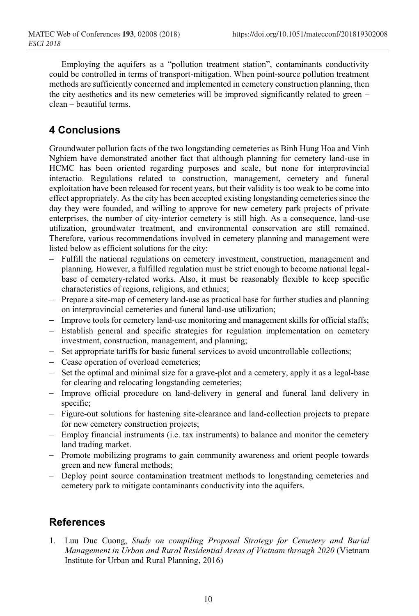Employing the aquifers as a "pollution treatment station", contaminants conductivity could be controlled in terms of transport-mitigation. When point-source pollution treatment methods are sufficiently concerned and implemented in cemetery construction planning, then the city aesthetics and its new cemeteries will be improved significantly related to green – clean – beautiful terms.

# **4 Conclusions**

Groundwater pollution facts of the two longstanding cemeteries as Binh Hung Hoa and Vinh Nghiem have demonstrated another fact that although planning for cemetery land-use in HCMC has been oriented regarding purposes and scale, but none for interprovincial interactio. Regulations related to construction, management, cemetery and funeral exploitation have been released for recent years, but their validity is too weak to be come into effect appropriately. As the city has been accepted existing longstanding cemeteries since the day they were founded, and willing to approve for new cemetery park projects of private enterprises, the number of city-interior cemetery is still high. As a consequence, land-use utilization, groundwater treatment, and environmental conservation are still remained. Therefore, various recommendations involved in cemetery planning and management were listed below as efficient solutions for the city:

- Fulfill the national regulations on cemetery investment, construction, management and planning. However, a fulfilled regulation must be strict enough to become national legalbase of cemetery-related works. Also, it must be reasonably flexible to keep specific characteristics of regions, religions, and ethnics;
- Prepare a site-map of cemetery land-use as practical base for further studies and planning on interprovincial cemeteries and funeral land-use utilization;
- Improve tools for cemetery land-use monitoring and management skills for official staffs;
- Establish general and specific strategies for regulation implementation on cemetery investment, construction, management, and planning;
- Set appropriate tariffs for basic funeral services to avoid uncontrollable collections;
- Cease operation of overload cemeteries;
- Set the optimal and minimal size for a grave-plot and a cemetery, apply it as a legal-base for clearing and relocating longstanding cemeteries;
- Improve official procedure on land-delivery in general and funeral land delivery in specific;
- Figure-out solutions for hastening site-clearance and land-collection projects to prepare for new cemetery construction projects;
- Employ financial instruments (i.e. tax instruments) to balance and monitor the cemetery land trading market.
- Promote mobilizing programs to gain community awareness and orient people towards green and new funeral methods;
- Deploy point source contamination treatment methods to longstanding cemeteries and cemetery park to mitigate contaminants conductivity into the aquifers.

## **References**

1. Luu Duc Cuong, *Study on compiling Proposal Strategy for Cemetery and Burial Management in Urban and Rural Residential Areas of Vietnam through 2020* (Vietnam Institute for Urban and Rural Planning, 2016)